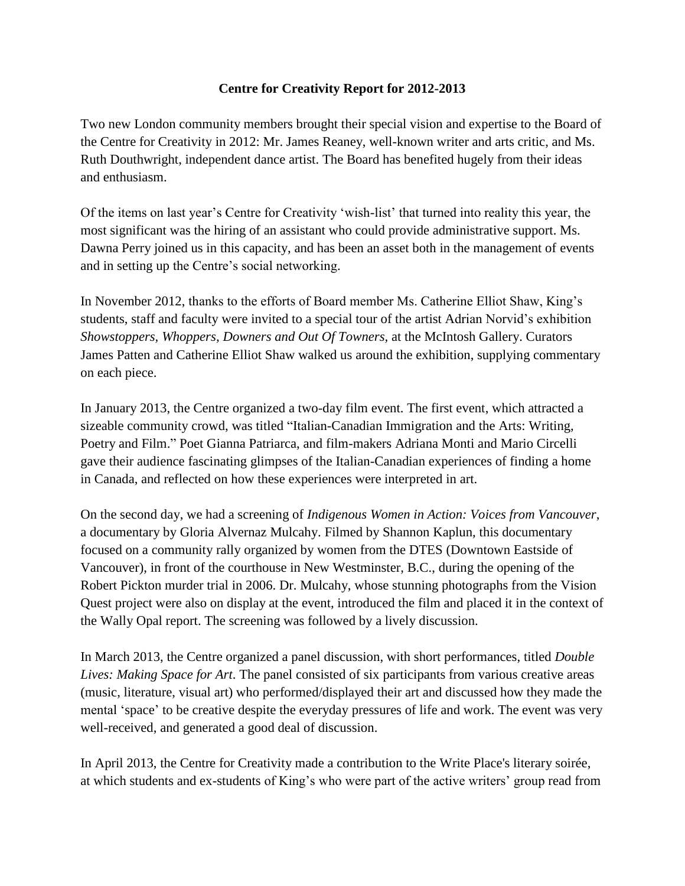## **Centre for Creativity Report for 2012-2013**

Two new London community members brought their special vision and expertise to the Board of the Centre for Creativity in 2012: Mr. James Reaney, well-known writer and arts critic, and Ms. Ruth Douthwright, independent dance artist. The Board has benefited hugely from their ideas and enthusiasm.

Of the items on last year's Centre for Creativity 'wish-list' that turned into reality this year, the most significant was the hiring of an assistant who could provide administrative support. Ms. Dawna Perry joined us in this capacity, and has been an asset both in the management of events and in setting up the Centre's social networking.

In November 2012, thanks to the efforts of Board member Ms. Catherine Elliot Shaw, King's students, staff and faculty were invited to a special tour of the artist Adrian Norvid's exhibition *Showstoppers, Whoppers, Downers and Out Of Towners,* at the McIntosh Gallery. Curators James Patten and Catherine Elliot Shaw walked us around the exhibition, supplying commentary on each piece.

In January 2013, the Centre organized a two-day film event. The first event, which attracted a sizeable community crowd, was titled "Italian-Canadian Immigration and the Arts: Writing, Poetry and Film." Poet Gianna Patriarca, and film-makers Adriana Monti and Mario Circelli gave their audience fascinating glimpses of the Italian-Canadian experiences of finding a home in Canada, and reflected on how these experiences were interpreted in art.

On the second day, we had a screening of *Indigenous Women in Action: Voices from Vancouver*, a documentary by Gloria Alvernaz Mulcahy. Filmed by Shannon Kaplun, this documentary focused on a community rally organized by women from the DTES (Downtown Eastside of Vancouver), in front of the courthouse in New Westminster, B.C., during the opening of the Robert Pickton murder trial in 2006. Dr. Mulcahy, whose stunning photographs from the Vision Quest project were also on display at the event, introduced the film and placed it in the context of the Wally Opal report. The screening was followed by a lively discussion.

In March 2013, the Centre organized a panel discussion, with short performances, titled *Double Lives: Making Space for Art*. The panel consisted of six participants from various creative areas (music, literature, visual art) who performed/displayed their art and discussed how they made the mental 'space' to be creative despite the everyday pressures of life and work. The event was very well-received, and generated a good deal of discussion.

In April 2013, the Centre for Creativity made a contribution to the Write Place's literary soirée, at which students and ex-students of King's who were part of the active writers' group read from